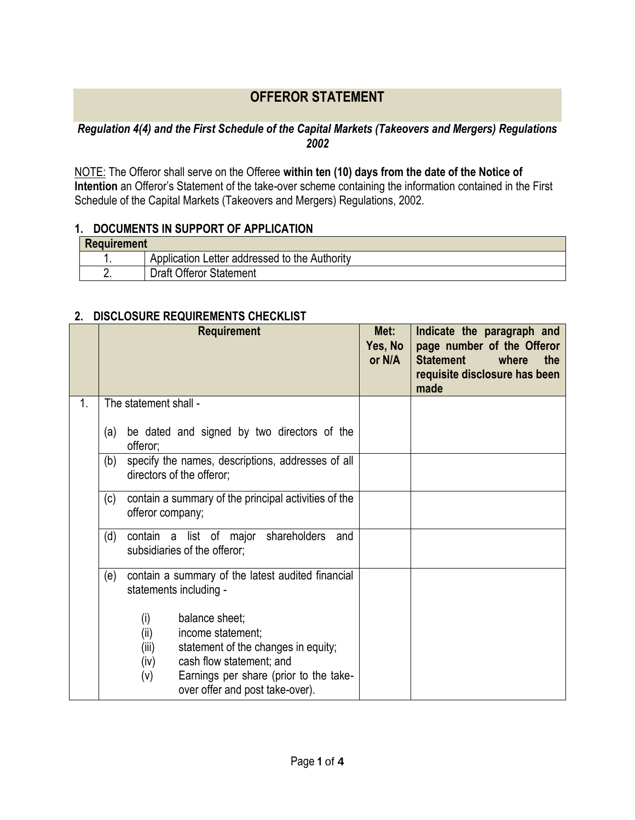## **OFFEROR STATEMENT**

## *Regulation 4(4) and the First Schedule of the Capital Markets (Takeovers and Mergers) Regulations 2002*

NOTE: The Offeror shall serve on the Offeree **within ten (10) days from the date of the Notice of Intention** an Offeror's Statement of the take-over scheme containing the information contained in the First Schedule of the Capital Markets (Takeovers and Mergers) Regulations, 2002.

## **1. DOCUMENTS IN SUPPORT OF APPLICATION**

| Requirement |                                               |  |
|-------------|-----------------------------------------------|--|
|             | Application Letter addressed to the Authority |  |
|             | <b>Draft Offeror Statement</b>                |  |

## **2. DISCLOSURE REQUIREMENTS CHECKLIST**

|    | <b>Requirement</b>                                                                                                                                                                                                         | Met:<br>Yes, No<br>or N/A | Indicate the paragraph and<br>page number of the Offeror<br><b>Statement</b><br>where<br>the<br>requisite disclosure has been<br>made |
|----|----------------------------------------------------------------------------------------------------------------------------------------------------------------------------------------------------------------------------|---------------------------|---------------------------------------------------------------------------------------------------------------------------------------|
| 1. | The statement shall -                                                                                                                                                                                                      |                           |                                                                                                                                       |
|    | be dated and signed by two directors of the<br>(a)<br>offeror;                                                                                                                                                             |                           |                                                                                                                                       |
|    | specify the names, descriptions, addresses of all<br>(b)<br>directors of the offeror;                                                                                                                                      |                           |                                                                                                                                       |
|    | contain a summary of the principal activities of the<br>(c)<br>offeror company;                                                                                                                                            |                           |                                                                                                                                       |
|    | (d)<br>shareholders<br>contain<br>list of<br>a<br>major<br>and<br>subsidiaries of the offeror;                                                                                                                             |                           |                                                                                                                                       |
|    | contain a summary of the latest audited financial<br>(e)<br>statements including -                                                                                                                                         |                           |                                                                                                                                       |
|    | balance sheet;<br>(i)<br>(ii)<br>income statement;<br>statement of the changes in equity;<br>(iii)<br>cash flow statement; and<br>(iv)<br>Earnings per share (prior to the take-<br>(v)<br>over offer and post take-over). |                           |                                                                                                                                       |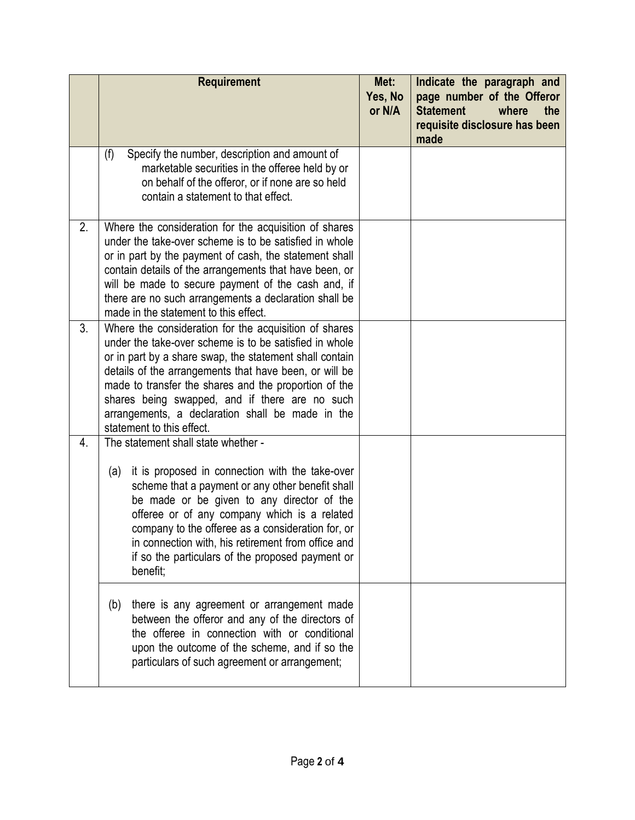|    | <b>Requirement</b>                                                                                                                                                                                                                                                                                                                                                                                                               | Met:<br>Yes, No<br>or N/A | Indicate the paragraph and<br>page number of the Offeror<br><b>Statement</b><br>where<br>the<br>requisite disclosure has been<br>made |
|----|----------------------------------------------------------------------------------------------------------------------------------------------------------------------------------------------------------------------------------------------------------------------------------------------------------------------------------------------------------------------------------------------------------------------------------|---------------------------|---------------------------------------------------------------------------------------------------------------------------------------|
|    | Specify the number, description and amount of<br>(f)<br>marketable securities in the offeree held by or<br>on behalf of the offeror, or if none are so held<br>contain a statement to that effect.                                                                                                                                                                                                                               |                           |                                                                                                                                       |
| 2. | Where the consideration for the acquisition of shares<br>under the take-over scheme is to be satisfied in whole<br>or in part by the payment of cash, the statement shall<br>contain details of the arrangements that have been, or<br>will be made to secure payment of the cash and, if<br>there are no such arrangements a declaration shall be<br>made in the statement to this effect.                                      |                           |                                                                                                                                       |
| 3. | Where the consideration for the acquisition of shares<br>under the take-over scheme is to be satisfied in whole<br>or in part by a share swap, the statement shall contain<br>details of the arrangements that have been, or will be<br>made to transfer the shares and the proportion of the<br>shares being swapped, and if there are no such<br>arrangements, a declaration shall be made in the<br>statement to this effect. |                           |                                                                                                                                       |
| 4. | The statement shall state whether -<br>it is proposed in connection with the take-over<br>(a)<br>scheme that a payment or any other benefit shall<br>be made or be given to any director of the<br>offeree or of any company which is a related<br>company to the offeree as a consideration for, or<br>in connection with, his retirement from office and<br>if so the particulars of the proposed payment or<br>benefit;       |                           |                                                                                                                                       |
|    | there is any agreement or arrangement made<br>(b)<br>between the offeror and any of the directors of<br>the offeree in connection with or conditional<br>upon the outcome of the scheme, and if so the<br>particulars of such agreement or arrangement;                                                                                                                                                                          |                           |                                                                                                                                       |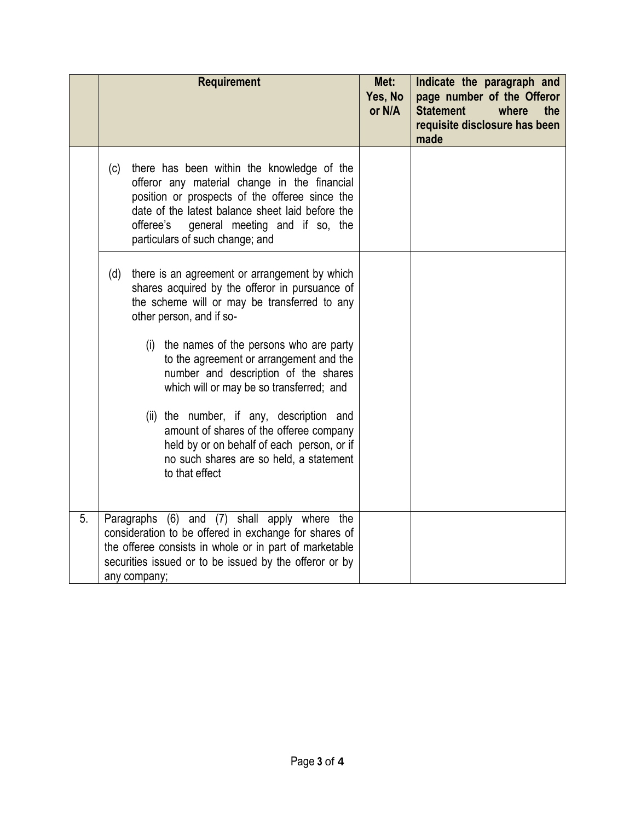|                  | <b>Requirement</b>                                                                                                                                                                                                                                                                        | Met:<br>Yes, No<br>or N/A | Indicate the paragraph and<br>page number of the Offeror<br><b>Statement</b><br>the<br>where<br>requisite disclosure has been<br>made |
|------------------|-------------------------------------------------------------------------------------------------------------------------------------------------------------------------------------------------------------------------------------------------------------------------------------------|---------------------------|---------------------------------------------------------------------------------------------------------------------------------------|
|                  | there has been within the knowledge of the<br>(c)<br>offeror any material change in the financial<br>position or prospects of the offeree since the<br>date of the latest balance sheet laid before the<br>offeree's<br>general meeting and if so, the<br>particulars of such change; and |                           |                                                                                                                                       |
|                  | there is an agreement or arrangement by which<br>(d)<br>shares acquired by the offeror in pursuance of<br>the scheme will or may be transferred to any<br>other person, and if so-                                                                                                        |                           |                                                                                                                                       |
|                  | the names of the persons who are party<br>(i)<br>to the agreement or arrangement and the<br>number and description of the shares<br>which will or may be so transferred; and                                                                                                              |                           |                                                                                                                                       |
|                  | (ii) the number, if any, description and<br>amount of shares of the offeree company<br>held by or on behalf of each person, or if<br>no such shares are so held, a statement<br>to that effect                                                                                            |                           |                                                                                                                                       |
| $\overline{5}$ . | Paragraphs (6) and (7) shall apply where the<br>consideration to be offered in exchange for shares of<br>the offeree consists in whole or in part of marketable<br>securities issued or to be issued by the offeror or by<br>any company;                                                 |                           |                                                                                                                                       |